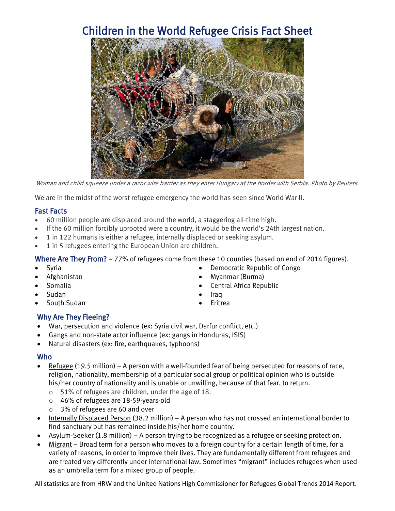# Children in the World Refugee Crisis Fact Sheet



Woman and child squeeze under a razor wire barrier as they enter Hungary at the border with Serbia. Photo by Reuters.

We are in the midst of the worst refugee emergency the world has seen since World War II.

## Fast Facts

- 60 million people are displaced around the world, a staggering all-time high.
- If the 60 million forcibly uprooted were a country, it would be the world's 24th largest nation.
- 1 in 122 humans is either a refugee, internally displaced or seeking asylum.
- 1 in 5 refugees entering the European Union are children.

Where Are They From? - 77% of refugees come from these 10 counties (based on end of 2014 figures).

- Syria
- Afghanistan
- Somalia
- Sudan
- South Sudan

### Why Are They Fleeing?

- War, persecution and violence (ex: Syria civil war, Darfur conflict, etc.)
- Gangs and non-state actor influence (ex: gangs in Honduras, ISIS)
- Natural disasters (ex: fire, earthquakes, typhoons)

### Who

- Refugee (19.5 million) A person with a well-founded fear of being persecuted for reasons of race, religion, nationality, membership of a particular social group or political opinion who is outside his/her country of nationality and is unable or unwilling, because of that fear, to return.
	- o 51% of refugees are children, under the age of 18.
	- o 46% of refugees are 18-59-years-old
	- o 3% of refugees are 60 and over
- Internally Displaced Person (38.2 million) A person who has not crossed an international border to find sanctuary but has remained inside his/her home country.
- Asylum-Seeker (1.8 million) A person trying to be recognized as a refugee or seeking protection.
- Migrant Broad term for a person who moves to a foreign country for a certain length of time, for a variety of reasons, in order to improve their lives. They are fundamentally different from refugees and are treated very differently under international law. Sometimes "migrant" includes refugees when used as an umbrella term for a mixed group of people.

All statistics are from HRW and the United Nations High Commissioner for Refugees Global Trends 2014 Report.

- Democratic Republic of Congo
- Myanmar (Burma)
- Central Africa Republic
- Iraq
- Eritrea